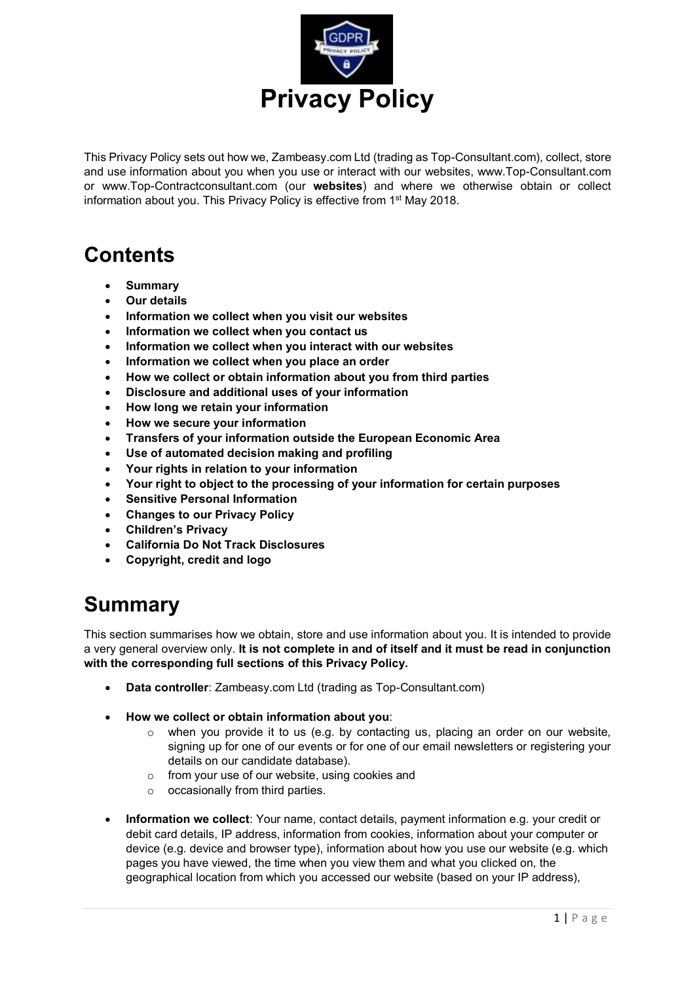

This Privacy Policy sets out how we, Zambeasy.com Ltd (trading as Top-Consultant.com), collect, store and use information about you when you use or interact with our websites, www.Top-Consultant.com or www.Top-Contractconsultant.com (our **websites**) and where we otherwise obtain or collect information about you. This Privacy Policy is effective from 1<sup>st</sup> May 2018.

## **Contents**

- **Summary**
- **Our details**
- **Information we collect when you visit our websites**
- **Information we collect when you contact us**
- **Information we collect when you interact with our websites**
- **Information we collect when you place an order**
- **How we collect or obtain information about you from third parties**
- **Disclosure and additional uses of your information**
- **How long we retain your information**
- **How we secure your information**
- **Transfers of your information outside the European Economic Area**
- **Use of automated decision making and profiling**
- **Your rights in relation to your information**
- **Your right to object to the processing of your information for certain purposes**
- **Sensitive Personal Information**
- **Changes to our Privacy Policy**
- **Children's Privacy**
- **California Do Not Track Disclosures**
- **Copyright, credit and logo**

## **Summary**

This section summarises how we obtain, store and use information about you. It is intended to provide a very general overview only. **It is not complete in and of itself and it must be read in conjunction with the corresponding full sections of this Privacy Policy.**

- **Data controller**: Zambeasy.com Ltd (trading as Top-Consultant.com)
- **How we collect or obtain information about you**:
	- $\circ$  when you provide it to us (e.g. by contacting us, placing an order on our website, signing up for one of our events or for one of our email newsletters or registering your details on our candidate database).
	- $\circ$  from your use of our website, using cookies and
	- $\circ$  occasionally from third parties.
- **Information we collect**: Your name, contact details, payment information e.g. your credit or debit card details, IP address, information from cookies, information about your computer or device (e.g. device and browser type), information about how you use our website (e.g. which pages you have viewed, the time when you view them and what you clicked on, the geographical location from which you accessed our website (based on your IP address),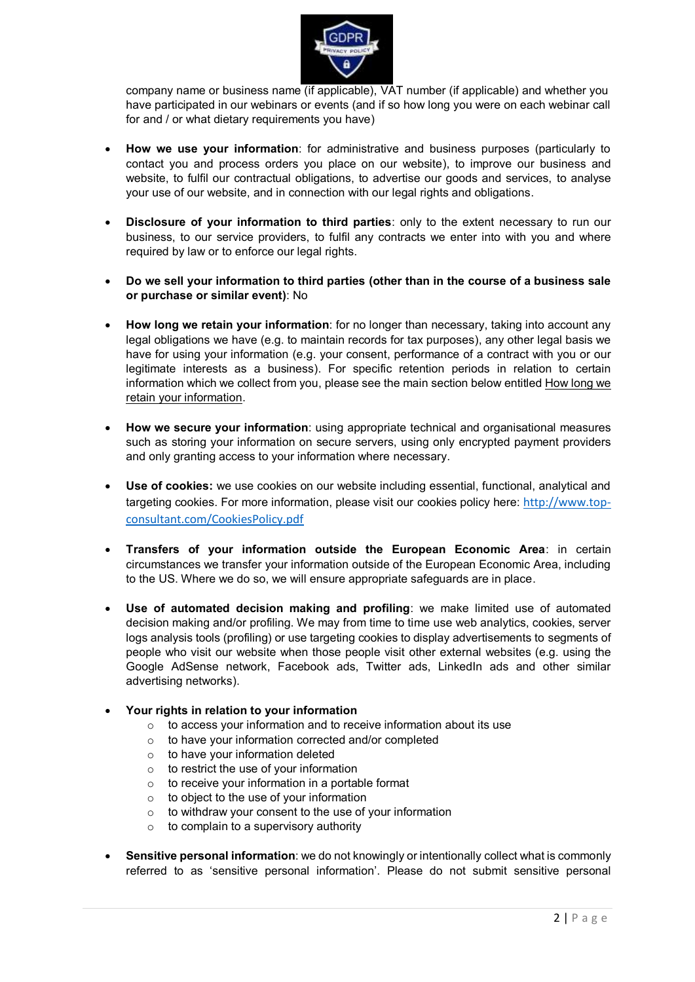

company name or business name (if applicable), VAT number (if applicable) and whether you have participated in our webinars or events (and if so how long you were on each webinar call for and / or what dietary requirements you have)

- **How we use your information**: for administrative and business purposes (particularly to contact you and process orders you place on our website), to improve our business and website, to fulfil our contractual obligations, to advertise our goods and services, to analyse your use of our website, and in connection with our legal rights and obligations.
- **Disclosure of your information to third parties**: only to the extent necessary to run our business, to our service providers, to fulfil any contracts we enter into with you and where required by law or to enforce our legal rights.
- **Do we sell your information to third parties (other than in the course of a business sale or purchase or similar event)**: No
- **How long we retain your information**: for no longer than necessary, taking into account any legal obligations we have (e.g. to maintain records for tax purposes), any other legal basis we have for using your information (e.g. your consent, performance of a contract with you or our legitimate interests as a business). For specific retention periods in relation to certain information which we collect from you, please see the main section below entitled How long we retain your information.
- **How we secure your information**: using appropriate technical and organisational measures such as storing your information on secure servers, using only encrypted payment providers and only granting access to your information where necessary.
- **Use of cookies:** we use cookies on our website including essential, functional, analytical and targeting cookies. For more information, please visit our cookies policy here: [http://www.top](http://www.top-consultant.com/CookiesPolicy.pdf)[consultant.com/CookiesPolicy.pdf](http://www.top-consultant.com/CookiesPolicy.pdf)
- **Transfers of your information outside the European Economic Area**: in certain circumstances we transfer your information outside of the European Economic Area, including to the US. Where we do so, we will ensure appropriate safeguards are in place.
- **Use of automated decision making and profiling**: we make limited use of automated decision making and/or profiling. We may from time to time use web analytics, cookies, server logs analysis tools (profiling) or use targeting cookies to display advertisements to segments of people who visit our website when those people visit other external websites (e.g. using the Google AdSense network, Facebook ads, Twitter ads, LinkedIn ads and other similar advertising networks).
- **Your rights in relation to your information**
	- o to access your information and to receive information about its use
	- o to have your information corrected and/or completed
	- $\circ$  to have your information deleted
	- $\circ$  to restrict the use of your information
	- o to receive your information in a portable format
	- to object to the use of your information
	- $\circ$  to withdraw your consent to the use of your information
	- $\circ$  to complain to a supervisory authority
- **Sensitive personal information**: we do not knowingly or intentionally collect what is commonly referred to as 'sensitive personal information'. Please do not submit sensitive personal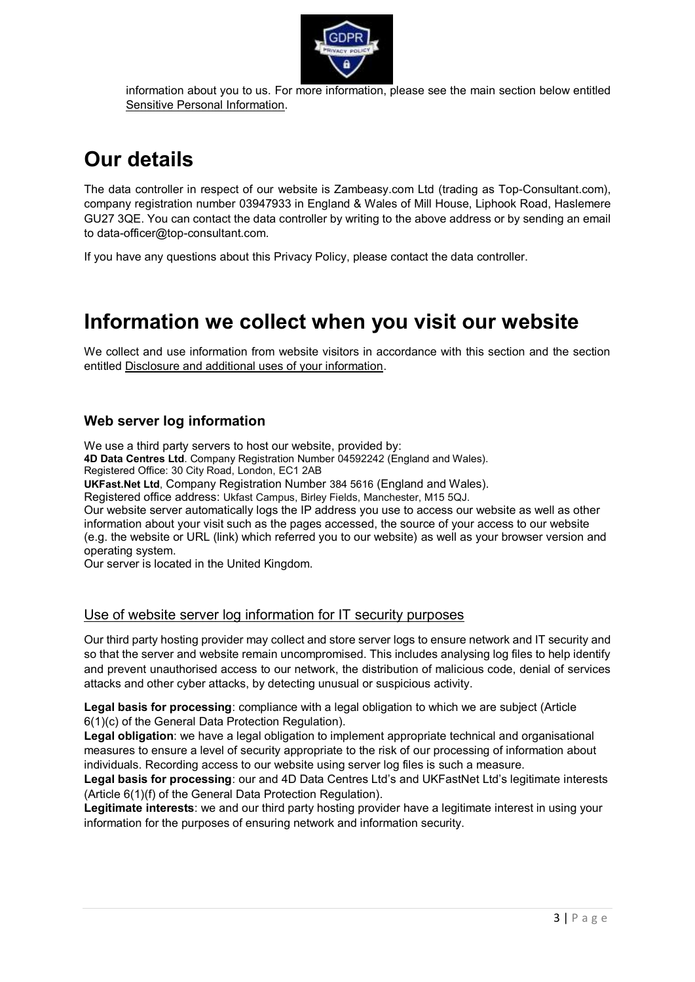

information about you to us. For more information, please see the main section below entitled Sensitive Personal Information.

# **Our details**

The data controller in respect of our website is Zambeasy.com Ltd (trading as Top-Consultant.com), company registration number 03947933 in England & Wales of Mill House, Liphook Road, Haslemere GU27 3QE. You can contact the data controller by writing to the above address or by sending an email to data-officer@top-consultant.com.

If you have any questions about this Privacy Policy, please contact the data controller.

# **Information we collect when you visit our website**

We collect and use information from website visitors in accordance with this section and the section entitled Disclosure and additional uses of your information.

### **Web server log information**

We use a third party servers to host our website, provided by:

**4D Data Centres Ltd**. Company Registration Number 04592242 (England and Wales).

Registered Office: 30 City Road, London, EC1 2AB

**UKFast.Net Ltd**, Company Registration Number 384 5616 (England and Wales).

Registered office address: Ukfast Campus, Birley Fields, Manchester, M15 5QJ.

Our website server automatically logs the IP address you use to access our website as well as other information about your visit such as the pages accessed, the source of your access to our website (e.g. the website or URL (link) which referred you to our website) as well as your browser version and operating system.

Our server is located in the United Kingdom.

### Use of website server log information for IT security purposes

Our third party hosting provider may collect and store server logs to ensure network and IT security and so that the server and website remain uncompromised. This includes analysing log files to help identify and prevent unauthorised access to our network, the distribution of malicious code, denial of services attacks and other cyber attacks, by detecting unusual or suspicious activity.

**Legal basis for processing**: compliance with a legal obligation to which we are subject (Article 6(1)(c) of the General Data Protection Regulation).

**Legal obligation**: we have a legal obligation to implement appropriate technical and organisational measures to ensure a level of security appropriate to the risk of our processing of information about individuals. Recording access to our website using server log files is such a measure.

**Legal basis for processing**: our and 4D Data Centres Ltd's and UKFastNet Ltd's legitimate interests (Article 6(1)(f) of the General Data Protection Regulation).

**Legitimate interests**: we and our third party hosting provider have a legitimate interest in using your information for the purposes of ensuring network and information security.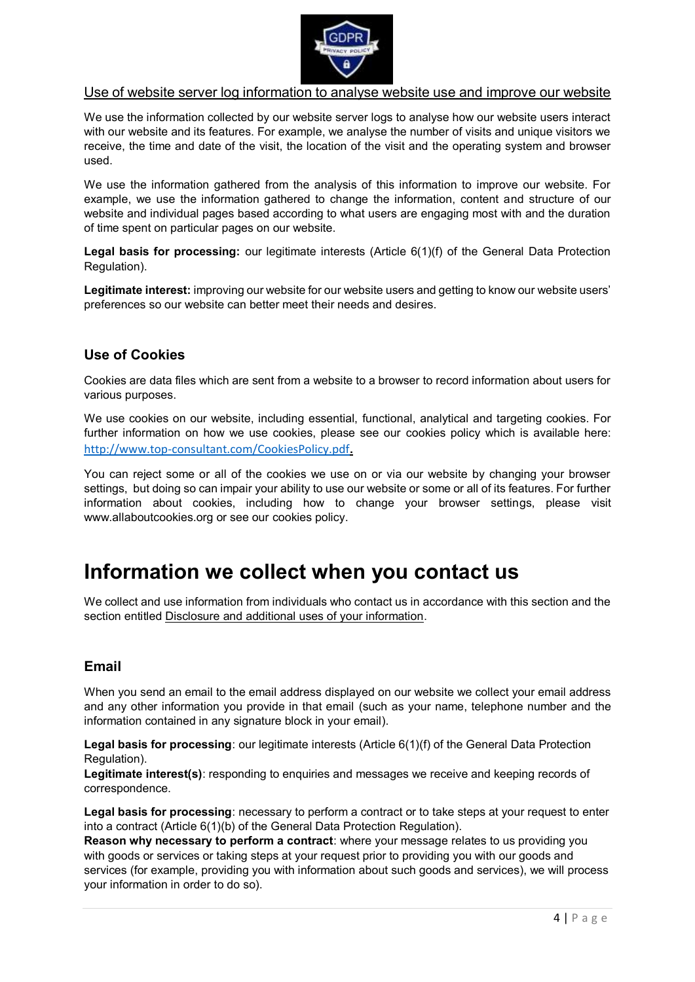

### Use of website server log information to analyse website use and improve our website

We use the information collected by our website server logs to analyse how our website users interact with our website and its features. For example, we analyse the number of visits and unique visitors we receive, the time and date of the visit, the location of the visit and the operating system and browser used.

We use the information gathered from the analysis of this information to improve our website. For example, we use the information gathered to change the information, content and structure of our website and individual pages based according to what users are engaging most with and the duration of time spent on particular pages on our website.

**Legal basis for processing:** our legitimate interests (Article 6(1)(f) of the General Data Protection Regulation).

**Legitimate interest:** improving our website for our website users and getting to know our website users' preferences so our website can better meet their needs and desires.

### **Use of Cookies**

Cookies are data files which are sent from a website to a browser to record information about users for various purposes.

We use cookies on our website, including essential, functional, analytical and targeting cookies. For further information on how we use cookies, please see our cookies policy which is available here: <http://www.top-consultant.com/CookiesPolicy.pdf>**.**

You can reject some or all of the cookies we use on or via our website by changing your browser settings, but doing so can impair your ability to use our website or some or all of its features. For further information about cookies, including how to change your browser settings, please visit www.allaboutcookies.org or see our cookies policy.

## **Information we collect when you contact us**

We collect and use information from individuals who contact us in accordance with this section and the section entitled Disclosure and additional uses of your information.

### **Email**

When you send an email to the email address displayed on our website we collect your email address and any other information you provide in that email (such as your name, telephone number and the information contained in any signature block in your email).

**Legal basis for processing**: our legitimate interests (Article 6(1)(f) of the General Data Protection Regulation).

**Legitimate interest(s)**: responding to enquiries and messages we receive and keeping records of correspondence.

**Legal basis for processing**: necessary to perform a contract or to take steps at your request to enter into a contract (Article 6(1)(b) of the General Data Protection Regulation).

**Reason why necessary to perform a contract**: where your message relates to us providing you with goods or services or taking steps at your request prior to providing you with our goods and services (for example, providing you with information about such goods and services), we will process your information in order to do so).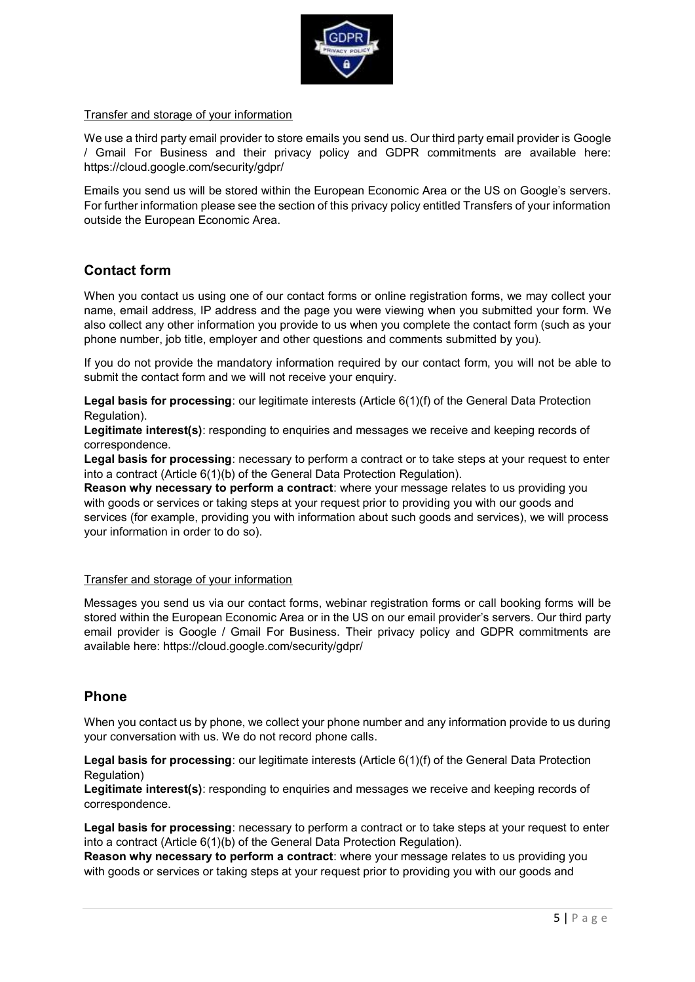

#### Transfer and storage of your information

We use a third party email provider to store emails you send us. Our third party email provider is Google / Gmail For Business and their privacy policy and GDPR commitments are available here: https://cloud.google.com/security/gdpr/

Emails you send us will be stored within the European Economic Area or the US on Google's servers. For further information please see the section of this privacy policy entitled Transfers of your information outside the European Economic Area.

### **Contact form**

When you contact us using one of our contact forms or online registration forms, we may collect your name, email address, IP address and the page you were viewing when you submitted your form. We also collect any other information you provide to us when you complete the contact form (such as your phone number, job title, employer and other questions and comments submitted by you).

If you do not provide the mandatory information required by our contact form, you will not be able to submit the contact form and we will not receive your enquiry.

**Legal basis for processing**: our legitimate interests (Article 6(1)(f) of the General Data Protection Regulation).

**Legitimate interest(s)**: responding to enquiries and messages we receive and keeping records of correspondence.

**Legal basis for processing**: necessary to perform a contract or to take steps at your request to enter into a contract (Article 6(1)(b) of the General Data Protection Regulation).

**Reason why necessary to perform a contract**: where your message relates to us providing you with goods or services or taking steps at your request prior to providing you with our goods and services (for example, providing you with information about such goods and services), we will process your information in order to do so).

#### Transfer and storage of your information

Messages you send us via our contact forms, webinar registration forms or call booking forms will be stored within the European Economic Area or in the US on our email provider's servers. Our third party email provider is Google / Gmail For Business. Their privacy policy and GDPR commitments are available here: https://cloud.google.com/security/gdpr/

### **Phone**

When you contact us by phone, we collect your phone number and any information provide to us during your conversation with us. We do not record phone calls.

**Legal basis for processing**: our legitimate interests (Article 6(1)(f) of the General Data Protection Regulation)

**Legitimate interest(s)**: responding to enquiries and messages we receive and keeping records of correspondence.

**Legal basis for processing**: necessary to perform a contract or to take steps at your request to enter into a contract (Article 6(1)(b) of the General Data Protection Regulation).

**Reason why necessary to perform a contract**: where your message relates to us providing you with goods or services or taking steps at your request prior to providing you with our goods and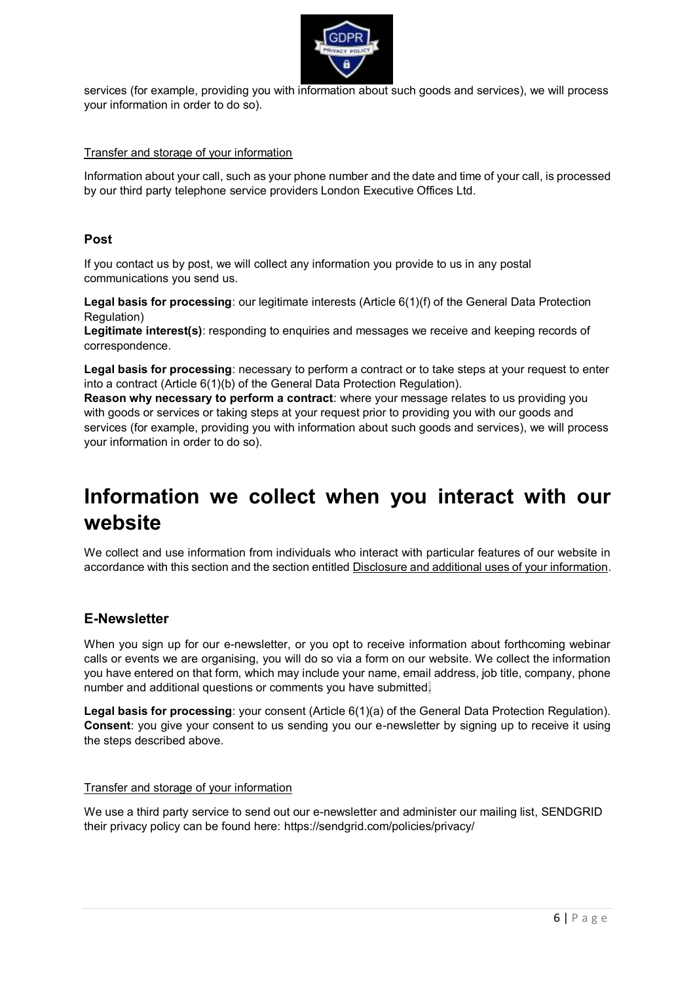

services (for example, providing you with information about such goods and services), we will process your information in order to do so).

#### Transfer and storage of your information

Information about your call, such as your phone number and the date and time of your call, is processed by our third party telephone service providers London Executive Offices Ltd.

### **Post**

If you contact us by post, we will collect any information you provide to us in any postal communications you send us.

**Legal basis for processing**: our legitimate interests (Article 6(1)(f) of the General Data Protection Regulation)

**Legitimate interest(s)**: responding to enquiries and messages we receive and keeping records of correspondence.

**Legal basis for processing**: necessary to perform a contract or to take steps at your request to enter into a contract (Article 6(1)(b) of the General Data Protection Regulation).

**Reason why necessary to perform a contract**: where your message relates to us providing you with goods or services or taking steps at your request prior to providing you with our goods and services (for example, providing you with information about such goods and services), we will process your information in order to do so).

## **Information we collect when you interact with our website**

We collect and use information from individuals who interact with particular features of our website in accordance with this section and the section entitled Disclosure and additional uses of your information.

### **E-Newsletter**

When you sign up for our e-newsletter, or you opt to receive information about forthcoming webinar calls or events we are organising, you will do so via a form on our website. We collect the information you have entered on that form, which may include your name, email address, job title, company, phone number and additional questions or comments you have submitted.

**Legal basis for processing**: your consent (Article 6(1)(a) of the General Data Protection Regulation). **Consent**: you give your consent to us sending you our e-newsletter by signing up to receive it using the steps described above.

#### Transfer and storage of your information

We use a third party service to send out our e-newsletter and administer our mailing list, SENDGRID their privacy policy can be found here: https://sendgrid.com/policies/privacy/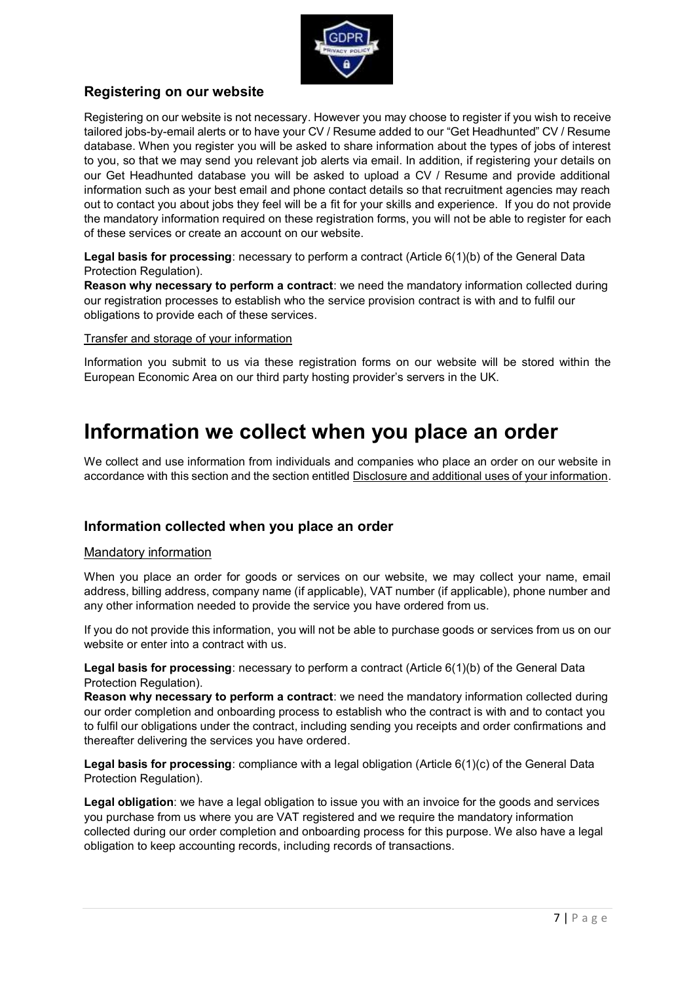

## **Registering on our website**

Registering on our website is not necessary. However you may choose to register if you wish to receive tailored jobs-by-email alerts or to have your CV / Resume added to our "Get Headhunted" CV / Resume database. When you register you will be asked to share information about the types of jobs of interest to you, so that we may send you relevant job alerts via email. In addition, if registering your details on our Get Headhunted database you will be asked to upload a CV / Resume and provide additional information such as your best email and phone contact details so that recruitment agencies may reach out to contact you about jobs they feel will be a fit for your skills and experience. If you do not provide the mandatory information required on these registration forms, you will not be able to register for each of these services or create an account on our website.

**Legal basis for processing**: necessary to perform a contract (Article 6(1)(b) of the General Data Protection Regulation).

**Reason why necessary to perform a contract**: we need the mandatory information collected during our registration processes to establish who the service provision contract is with and to fulfil our obligations to provide each of these services.

Transfer and storage of your information

Information you submit to us via these registration forms on our website will be stored within the European Economic Area on our third party hosting provider's servers in the UK.

## **Information we collect when you place an order**

We collect and use information from individuals and companies who place an order on our website in accordance with this section and the section entitled Disclosure and additional uses of your information.

## **Information collected when you place an order**

### Mandatory information

When you place an order for goods or services on our website, we may collect your name, email address, billing address, company name (if applicable), VAT number (if applicable), phone number and any other information needed to provide the service you have ordered from us.

If you do not provide this information, you will not be able to purchase goods or services from us on our website or enter into a contract with us.

**Legal basis for processing**: necessary to perform a contract (Article 6(1)(b) of the General Data Protection Regulation).

**Reason why necessary to perform a contract**: we need the mandatory information collected during our order completion and onboarding process to establish who the contract is with and to contact you to fulfil our obligations under the contract, including sending you receipts and order confirmations and thereafter delivering the services you have ordered.

**Legal basis for processing**: compliance with a legal obligation (Article 6(1)(c) of the General Data Protection Regulation).

**Legal obligation**: we have a legal obligation to issue you with an invoice for the goods and services you purchase from us where you are VAT registered and we require the mandatory information collected during our order completion and onboarding process for this purpose. We also have a legal obligation to keep accounting records, including records of transactions.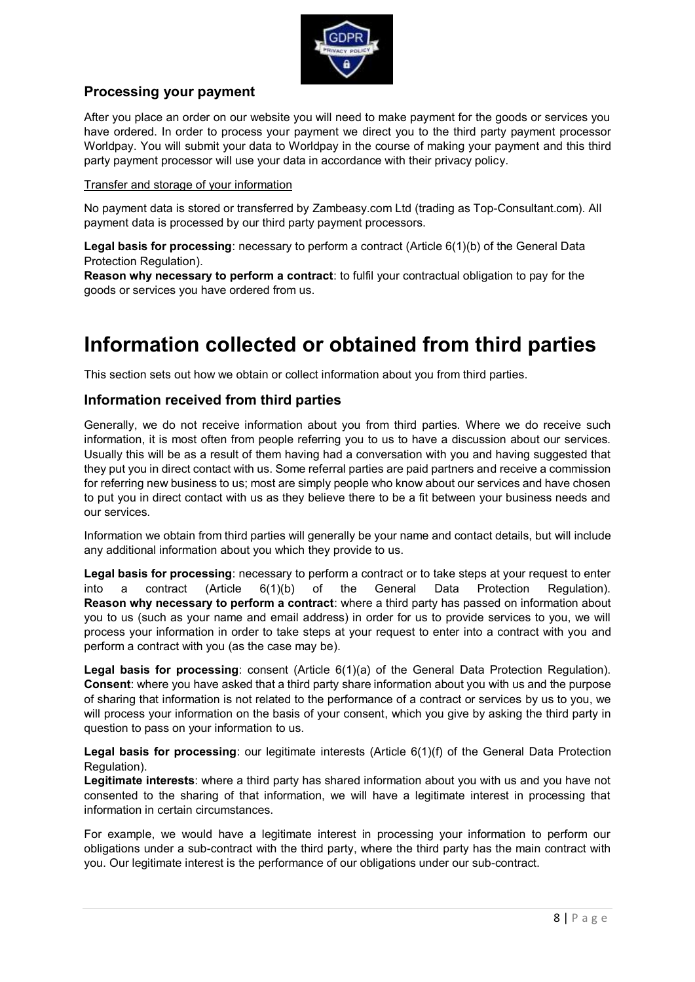

### **Processing your payment**

After you place an order on our website you will need to make payment for the goods or services you have ordered. In order to process your payment we direct you to the third party payment processor Worldpay. You will submit your data to Worldpay in the course of making your payment and this third party payment processor will use your data in accordance with their privacy policy.

### Transfer and storage of your information

No payment data is stored or transferred by Zambeasy.com Ltd (trading as Top-Consultant.com). All payment data is processed by our third party payment processors.

**Legal basis for processing**: necessary to perform a contract (Article 6(1)(b) of the General Data Protection Regulation).

**Reason why necessary to perform a contract**: to fulfil your contractual obligation to pay for the goods or services you have ordered from us.

# **Information collected or obtained from third parties**

This section sets out how we obtain or collect information about you from third parties.

### **Information received from third parties**

Generally, we do not receive information about you from third parties. Where we do receive such information, it is most often from people referring you to us to have a discussion about our services. Usually this will be as a result of them having had a conversation with you and having suggested that they put you in direct contact with us. Some referral parties are paid partners and receive a commission for referring new business to us; most are simply people who know about our services and have chosen to put you in direct contact with us as they believe there to be a fit between your business needs and our services.

Information we obtain from third parties will generally be your name and contact details, but will include any additional information about you which they provide to us.

**Legal basis for processing**: necessary to perform a contract or to take steps at your request to enter into a contract (Article 6(1)(b) of the General Data Protection Regulation). **Reason why necessary to perform a contract**: where a third party has passed on information about you to us (such as your name and email address) in order for us to provide services to you, we will process your information in order to take steps at your request to enter into a contract with you and perform a contract with you (as the case may be).

**Legal basis for processing**: consent (Article 6(1)(a) of the General Data Protection Regulation). **Consent**: where you have asked that a third party share information about you with us and the purpose of sharing that information is not related to the performance of a contract or services by us to you, we will process your information on the basis of your consent, which you give by asking the third party in question to pass on your information to us.

**Legal basis for processing**: our legitimate interests (Article 6(1)(f) of the General Data Protection Regulation).

**Legitimate interests**: where a third party has shared information about you with us and you have not consented to the sharing of that information, we will have a legitimate interest in processing that information in certain circumstances.

For example, we would have a legitimate interest in processing your information to perform our obligations under a sub-contract with the third party, where the third party has the main contract with you. Our legitimate interest is the performance of our obligations under our sub-contract.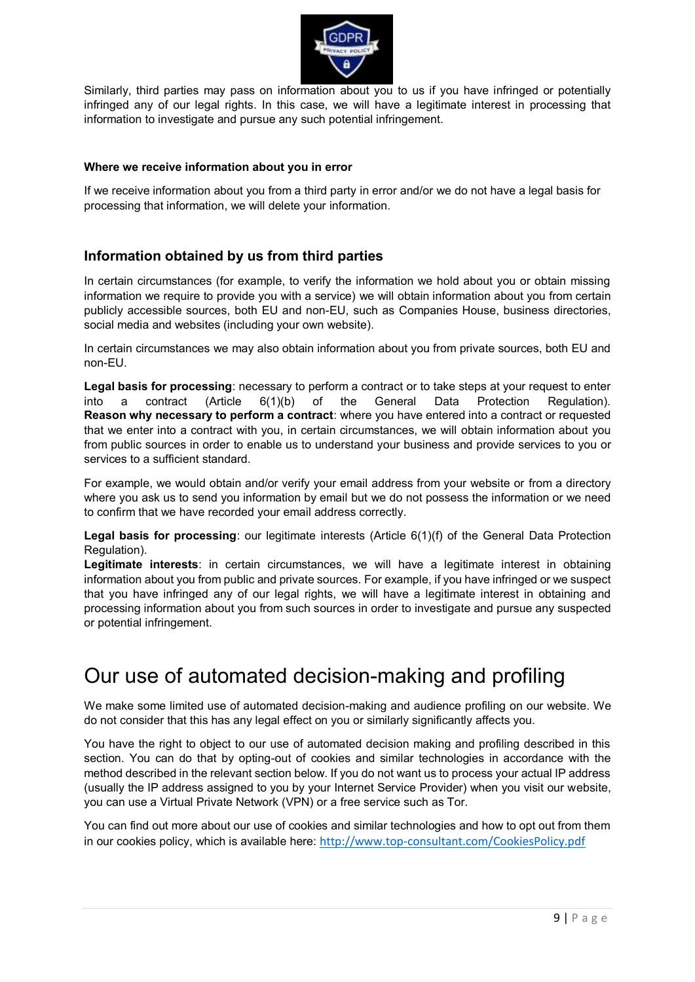

Similarly, third parties may pass on information about you to us if you have infringed or potentially infringed any of our legal rights. In this case, we will have a legitimate interest in processing that information to investigate and pursue any such potential infringement.

### **Where we receive information about you in error**

If we receive information about you from a third party in error and/or we do not have a legal basis for processing that information, we will delete your information.

## **Information obtained by us from third parties**

In certain circumstances (for example, to verify the information we hold about you or obtain missing information we require to provide you with a service) we will obtain information about you from certain publicly accessible sources, both EU and non-EU, such as Companies House, business directories, social media and websites (including your own website).

In certain circumstances we may also obtain information about you from private sources, both EU and non-EU.

**Legal basis for processing**: necessary to perform a contract or to take steps at your request to enter into a contract (Article 6(1)(b) of the General Data Protection Regulation). **Reason why necessary to perform a contract**: where you have entered into a contract or requested that we enter into a contract with you, in certain circumstances, we will obtain information about you from public sources in order to enable us to understand your business and provide services to you or services to a sufficient standard.

For example, we would obtain and/or verify your email address from your website or from a directory where you ask us to send you information by email but we do not possess the information or we need to confirm that we have recorded your email address correctly.

**Legal basis for processing**: our legitimate interests (Article 6(1)(f) of the General Data Protection Regulation).

**Legitimate interests**: in certain circumstances, we will have a legitimate interest in obtaining information about you from public and private sources. For example, if you have infringed or we suspect that you have infringed any of our legal rights, we will have a legitimate interest in obtaining and processing information about you from such sources in order to investigate and pursue any suspected or potential infringement.

## Our use of automated decision-making and profiling

We make some limited use of automated decision-making and audience profiling on our website. We do not consider that this has any legal effect on you or similarly significantly affects you.

You have the right to object to our use of automated decision making and profiling described in this section. You can do that by opting-out of cookies and similar technologies in accordance with the method described in the relevant section below. If you do not want us to process your actual IP address (usually the IP address assigned to you by your Internet Service Provider) when you visit our website, you can use a Virtual Private Network (VPN) or a free service such as Tor.

You can find out more about our use of cookies and similar technologies and how to opt out from them in our cookies policy, which is available here: <http://www.top-consultant.com/CookiesPolicy.pdf>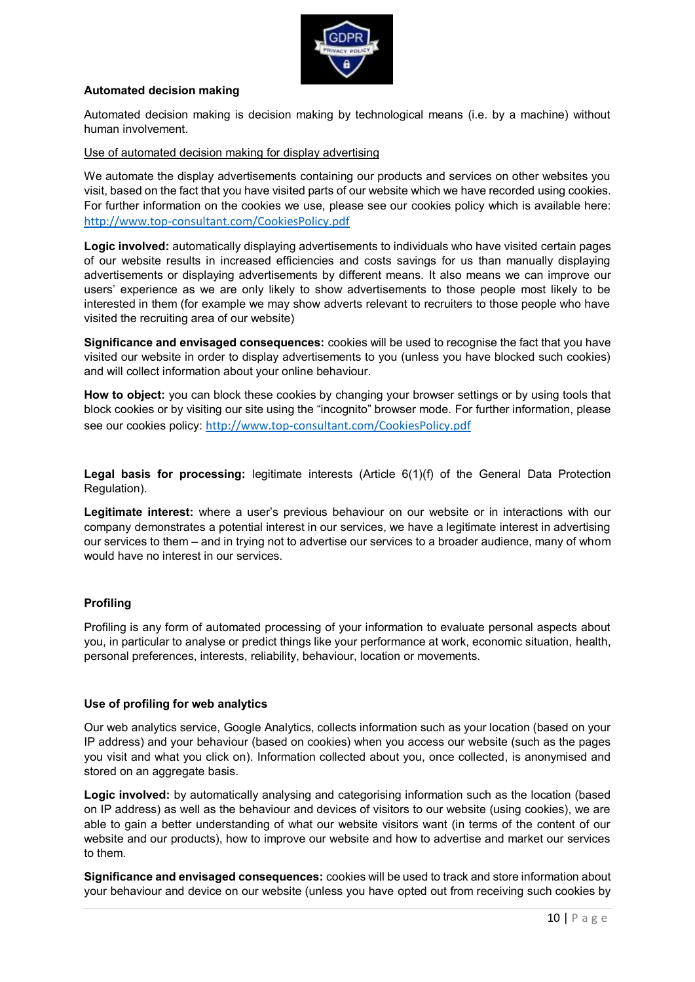

### **Automated decision making**

Automated decision making is decision making by technological means (i.e. by a machine) without human involvement.

Use of automated decision making for display advertising

We automate the display advertisements containing our products and services on other websites you visit, based on the fact that you have visited parts of our website which we have recorded using cookies. For further information on the cookies we use, please see our cookies policy which is available here: <http://www.top-consultant.com/CookiesPolicy.pdf>

**Logic involved:** automatically displaying advertisements to individuals who have visited certain pages of our website results in increased efficiencies and costs savings for us than manually displaying advertisements or displaying advertisements by different means. It also means we can improve our users' experience as we are only likely to show advertisements to those people most likely to be interested in them (for example we may show adverts relevant to recruiters to those people who have visited the recruiting area of our website)

**Significance and envisaged consequences:** cookies will be used to recognise the fact that you have visited our website in order to display advertisements to you (unless you have blocked such cookies) and will collect information about your online behaviour.

**How to object:** you can block these cookies by changing your browser settings or by using tools that block cookies or by visiting our site using the "incognito" browser mode. For further information, please see our cookies policy: <http://www.top-consultant.com/CookiesPolicy.pdf>

**Legal basis for processing:** legitimate interests (Article 6(1)(f) of the General Data Protection Regulation).

**Legitimate interest:** where a user's previous behaviour on our website or in interactions with our company demonstrates a potential interest in our services, we have a legitimate interest in advertising our services to them – and in trying not to advertise our services to a broader audience, many of whom would have no interest in our services.

### **Profiling**

Profiling is any form of automated processing of your information to evaluate personal aspects about you, in particular to analyse or predict things like your performance at work, economic situation, health, personal preferences, interests, reliability, behaviour, location or movements.

### **Use of profiling for web analytics**

Our web analytics service, Google Analytics, collects information such as your location (based on your IP address) and your behaviour (based on cookies) when you access our website (such as the pages you visit and what you click on). Information collected about you, once collected, is anonymised and stored on an aggregate basis.

**Logic involved:** by automatically analysing and categorising information such as the location (based on IP address) as well as the behaviour and devices of visitors to our website (using cookies), we are able to gain a better understanding of what our website visitors want (in terms of the content of our website and our products), how to improve our website and how to advertise and market our services to them.

**Significance and envisaged consequences:** cookies will be used to track and store information about your behaviour and device on our website (unless you have opted out from receiving such cookies by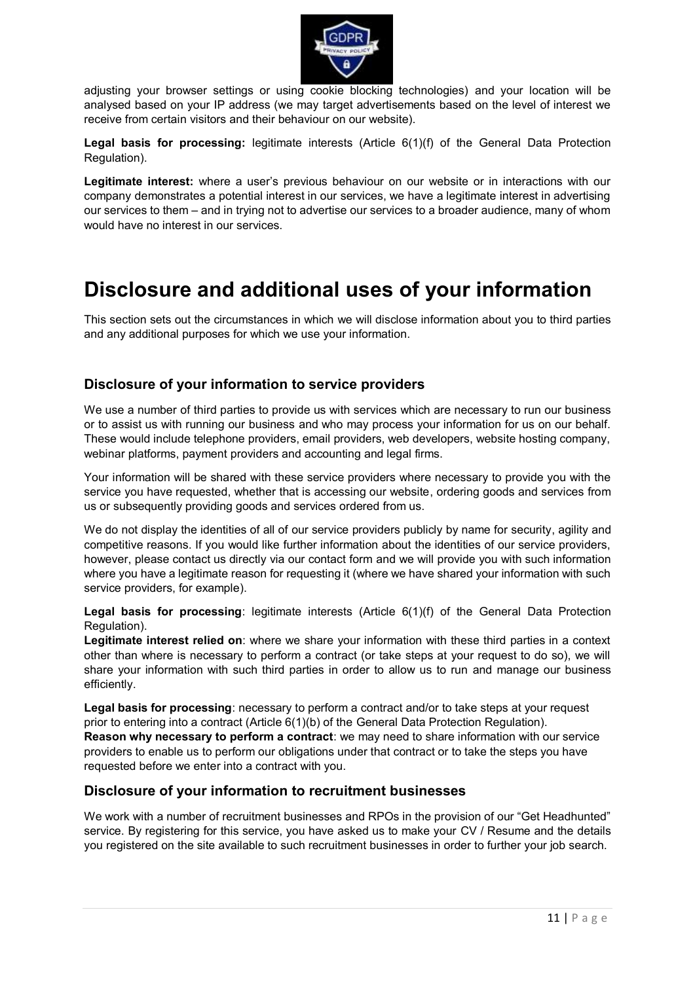

adjusting your browser settings or using cookie blocking technologies) and your location will be analysed based on your IP address (we may target advertisements based on the level of interest we receive from certain visitors and their behaviour on our website).

**Legal basis for processing:** legitimate interests (Article 6(1)(f) of the General Data Protection Regulation).

**Legitimate interest:** where a user's previous behaviour on our website or in interactions with our company demonstrates a potential interest in our services, we have a legitimate interest in advertising our services to them – and in trying not to advertise our services to a broader audience, many of whom would have no interest in our services.

## **Disclosure and additional uses of your information**

This section sets out the circumstances in which we will disclose information about you to third parties and any additional purposes for which we use your information.

### **Disclosure of your information to service providers**

We use a number of third parties to provide us with services which are necessary to run our business or to assist us with running our business and who may process your information for us on our behalf. These would include telephone providers, email providers, web developers, website hosting company, webinar platforms, payment providers and accounting and legal firms.

Your information will be shared with these service providers where necessary to provide you with the service you have requested, whether that is accessing our website, ordering goods and services from us or subsequently providing goods and services ordered from us.

We do not display the identities of all of our service providers publicly by name for security, agility and competitive reasons. If you would like further information about the identities of our service providers, however, please contact us directly via our contact form and we will provide you with such information where you have a legitimate reason for requesting it (where we have shared your information with such service providers, for example).

**Legal basis for processing**: legitimate interests (Article 6(1)(f) of the General Data Protection Regulation).

**Legitimate interest relied on**: where we share your information with these third parties in a context other than where is necessary to perform a contract (or take steps at your request to do so), we will share your information with such third parties in order to allow us to run and manage our business efficiently.

**Legal basis for processing**: necessary to perform a contract and/or to take steps at your request prior to entering into a contract (Article 6(1)(b) of the General Data Protection Regulation). **Reason why necessary to perform a contract**: we may need to share information with our service providers to enable us to perform our obligations under that contract or to take the steps you have requested before we enter into a contract with you.

### **Disclosure of your information to recruitment businesses**

We work with a number of recruitment businesses and RPOs in the provision of our "Get Headhunted" service. By registering for this service, you have asked us to make your CV / Resume and the details you registered on the site available to such recruitment businesses in order to further your job search.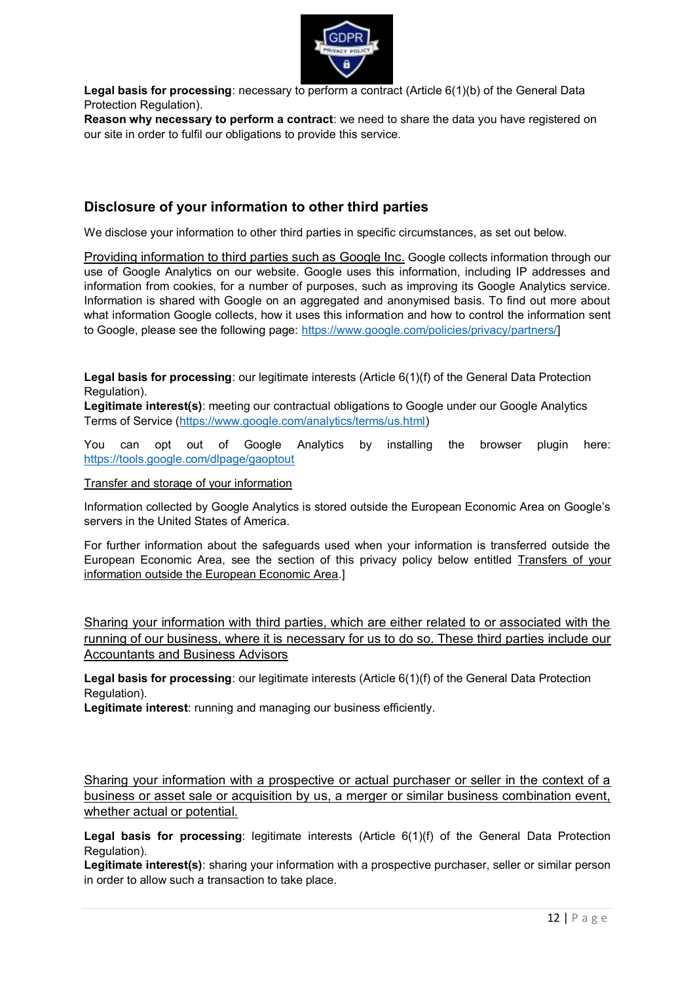

**Legal basis for processing**: necessary to perform a contract (Article 6(1)(b) of the General Data Protection Regulation).

**Reason why necessary to perform a contract**: we need to share the data you have registered on our site in order to fulfil our obligations to provide this service.

### **Disclosure of your information to other third parties**

We disclose your information to other third parties in specific circumstances, as set out below.

Providing information to third parties such as Google Inc. Google collects information through our use of Google Analytics on our website. Google uses this information, including IP addresses and information from cookies, for a number of purposes, such as improving its Google Analytics service. Information is shared with Google on an aggregated and anonymised basis. To find out more about what information Google collects, how it uses this information and how to control the information sent to Google, please see the following page: [https://www.google.com/policies/privacy/partners/\]](https://www.google.com/policies/privacy/partners/)

**Legal basis for processing**: our legitimate interests (Article 6(1)(f) of the General Data Protection Regulation).

**Legitimate interest(s)**: meeting our contractual obligations to Google under our Google Analytics Terms of Service [\(https://www.google.com/analytics/terms/us.html\)](https://www.google.com/analytics/terms/us.html)

You can opt out of Google Analytics by installing the browser plugin here: <https://tools.google.com/dlpage/gaoptout>

Transfer and storage of your information

Information collected by Google Analytics is stored outside the European Economic Area on Google's servers in the United States of America.

For further information about the safeguards used when your information is transferred outside the European Economic Area, see the section of this privacy policy below entitled Transfers of your information outside the European Economic Area.]

Sharing your information with third parties, which are either related to or associated with the running of our business, where it is necessary for us to do so. These third parties include our Accountants and Business Advisors

**Legal basis for processing**: our legitimate interests (Article 6(1)(f) of the General Data Protection Regulation).

**Legitimate interest**: running and managing our business efficiently.

Sharing your information with a prospective or actual purchaser or seller in the context of a business or asset sale or acquisition by us, a merger or similar business combination event, whether actual or potential.

**Legal basis for processing**: legitimate interests (Article 6(1)(f) of the General Data Protection Regulation).

**Legitimate interest(s)**: sharing your information with a prospective purchaser, seller or similar person in order to allow such a transaction to take place.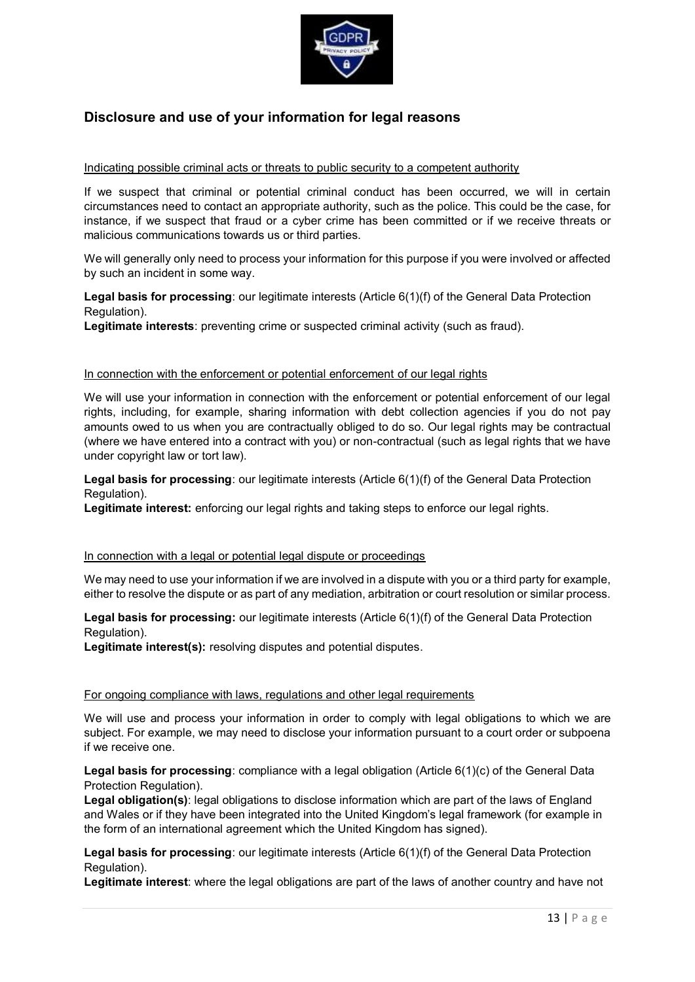

## **Disclosure and use of your information for legal reasons**

### Indicating possible criminal acts or threats to public security to a competent authority

If we suspect that criminal or potential criminal conduct has been occurred, we will in certain circumstances need to contact an appropriate authority, such as the police. This could be the case, for instance, if we suspect that fraud or a cyber crime has been committed or if we receive threats or malicious communications towards us or third parties.

We will generally only need to process your information for this purpose if you were involved or affected by such an incident in some way.

**Legal basis for processing**: our legitimate interests (Article 6(1)(f) of the General Data Protection Regulation).

Legitimate interests: preventing crime or suspected criminal activity (such as fraud).

### In connection with the enforcement or potential enforcement of our legal rights

We will use your information in connection with the enforcement or potential enforcement of our legal rights, including, for example, sharing information with debt collection agencies if you do not pay amounts owed to us when you are contractually obliged to do so. Our legal rights may be contractual (where we have entered into a contract with you) or non-contractual (such as legal rights that we have under copyright law or tort law).

**Legal basis for processing**: our legitimate interests (Article 6(1)(f) of the General Data Protection Regulation).

**Legitimate interest:** enforcing our legal rights and taking steps to enforce our legal rights.

### In connection with a legal or potential legal dispute or proceedings

We may need to use your information if we are involved in a dispute with you or a third party for example, either to resolve the dispute or as part of any mediation, arbitration or court resolution or similar process.

**Legal basis for processing:** our legitimate interests (Article 6(1)(f) of the General Data Protection Regulation).

**Legitimate interest(s):** resolving disputes and potential disputes.

#### For ongoing compliance with laws, regulations and other legal requirements

We will use and process your information in order to comply with legal obligations to which we are subject. For example, we may need to disclose your information pursuant to a court order or subpoena if we receive one.

**Legal basis for processing**: compliance with a legal obligation (Article 6(1)(c) of the General Data Protection Regulation).

**Legal obligation(s)**: legal obligations to disclose information which are part of the laws of England and Wales or if they have been integrated into the United Kingdom's legal framework (for example in the form of an international agreement which the United Kingdom has signed).

**Legal basis for processing**: our legitimate interests (Article 6(1)(f) of the General Data Protection Regulation).

**Legitimate interest**: where the legal obligations are part of the laws of another country and have not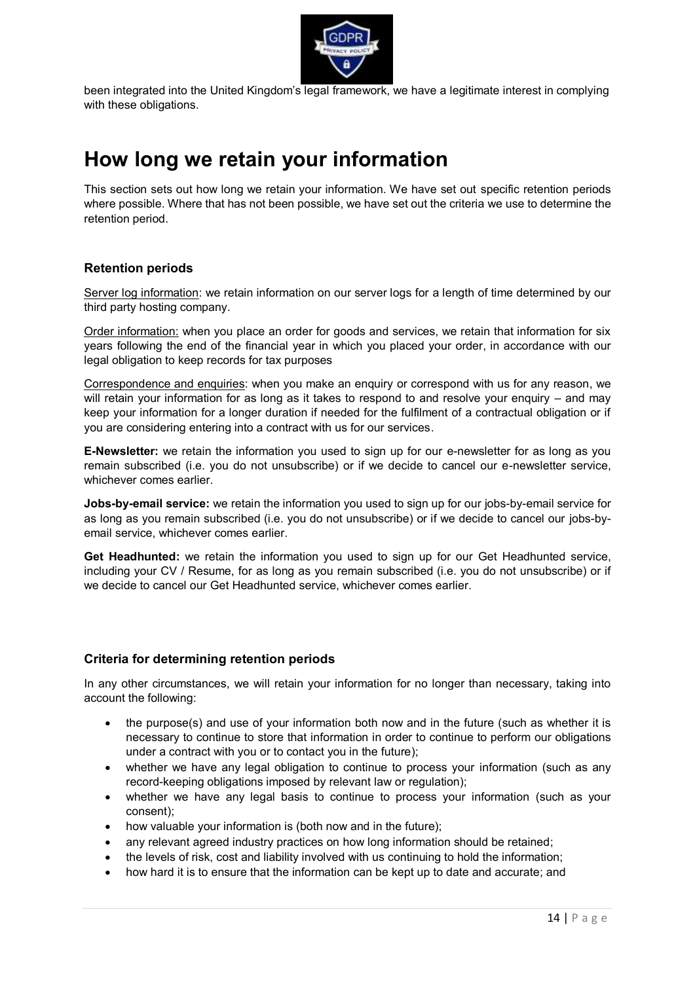

been integrated into the United Kingdom's legal framework, we have a legitimate interest in complying with these obligations.

# **How long we retain your information**

This section sets out how long we retain your information. We have set out specific retention periods where possible. Where that has not been possible, we have set out the criteria we use to determine the retention period.

### **Retention periods**

Server log information: we retain information on our server logs for a length of time determined by our third party hosting company.

Order information: when you place an order for goods and services, we retain that information for six years following the end of the financial year in which you placed your order, in accordance with our legal obligation to keep records for tax purposes

Correspondence and enquiries: when you make an enquiry or correspond with us for any reason, we will retain your information for as long as it takes to respond to and resolve your enquiry – and may keep your information for a longer duration if needed for the fulfilment of a contractual obligation or if you are considering entering into a contract with us for our services.

**E-Newsletter:** we retain the information you used to sign up for our e-newsletter for as long as you remain subscribed (i.e. you do not unsubscribe) or if we decide to cancel our e-newsletter service, whichever comes earlier.

**Jobs-by-email service:** we retain the information you used to sign up for our jobs-by-email service for as long as you remain subscribed (i.e. you do not unsubscribe) or if we decide to cancel our jobs-byemail service, whichever comes earlier.

**Get Headhunted:** we retain the information you used to sign up for our Get Headhunted service, including your CV / Resume, for as long as you remain subscribed (i.e. you do not unsubscribe) or if we decide to cancel our Get Headhunted service, whichever comes earlier.

### **Criteria for determining retention periods**

In any other circumstances, we will retain your information for no longer than necessary, taking into account the following:

- the purpose(s) and use of your information both now and in the future (such as whether it is necessary to continue to store that information in order to continue to perform our obligations under a contract with you or to contact you in the future);
- whether we have any legal obligation to continue to process your information (such as any record-keeping obligations imposed by relevant law or regulation);
- whether we have any legal basis to continue to process your information (such as your consent);
- how valuable your information is (both now and in the future);
- any relevant agreed industry practices on how long information should be retained;
- the levels of risk, cost and liability involved with us continuing to hold the information;
- how hard it is to ensure that the information can be kept up to date and accurate; and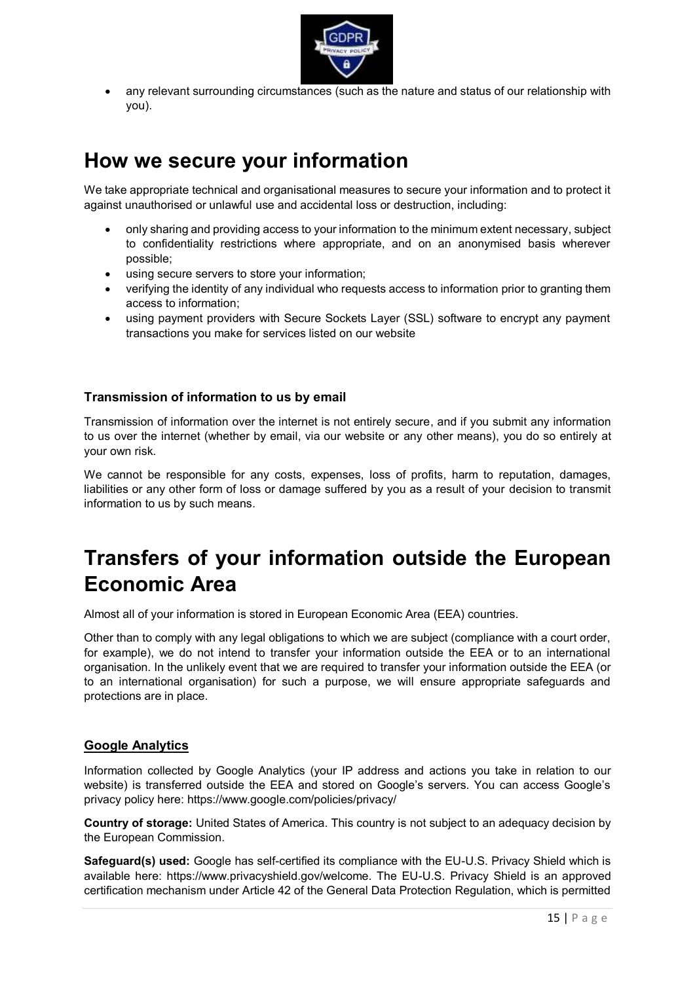

 any relevant surrounding circumstances (such as the nature and status of our relationship with you).

# **How we secure your information**

We take appropriate technical and organisational measures to secure your information and to protect it against unauthorised or unlawful use and accidental loss or destruction, including:

- only sharing and providing access to your information to the minimum extent necessary, subject to confidentiality restrictions where appropriate, and on an anonymised basis wherever possible;
- using secure servers to store your information;
- verifying the identity of any individual who requests access to information prior to granting them access to information;
- using payment providers with Secure Sockets Layer (SSL) software to encrypt any payment transactions you make for services listed on our website

### **Transmission of information to us by email**

Transmission of information over the internet is not entirely secure, and if you submit any information to us over the internet (whether by email, via our website or any other means), you do so entirely at your own risk.

We cannot be responsible for any costs, expenses, loss of profits, harm to reputation, damages, liabilities or any other form of loss or damage suffered by you as a result of your decision to transmit information to us by such means.

# **Transfers of your information outside the European Economic Area**

Almost all of your information is stored in European Economic Area (EEA) countries.

Other than to comply with any legal obligations to which we are subject (compliance with a court order, for example), we do not intend to transfer your information outside the EEA or to an international organisation. In the unlikely event that we are required to transfer your information outside the EEA (or to an international organisation) for such a purpose, we will ensure appropriate safeguards and protections are in place.

### **Google Analytics**

Information collected by Google Analytics (your IP address and actions you take in relation to our website) is transferred outside the EEA and stored on Google's servers. You can access Google's privacy policy here: https://www.google.com/policies/privacy/

**Country of storage:** United States of America. This country is not subject to an adequacy decision by the European Commission.

**Safeguard(s) used:** Google has self-certified its compliance with the EU-U.S. Privacy Shield which is available here: https://www.privacyshield.gov/welcome. The EU-U.S. Privacy Shield is an approved certification mechanism under Article 42 of the General Data Protection Regulation, which is permitted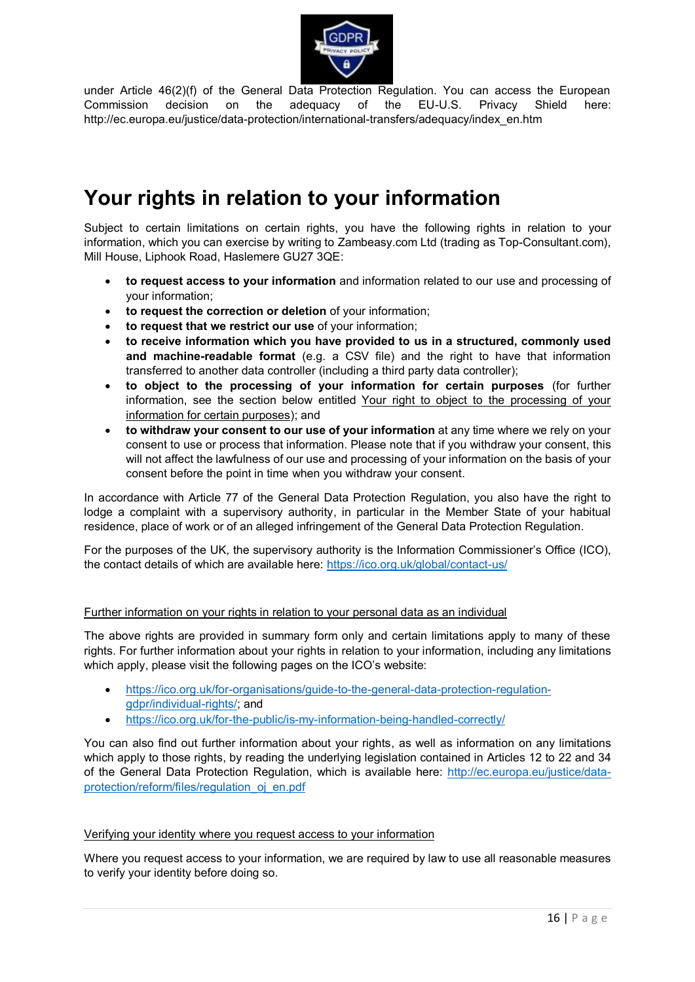

under Article 46(2)(f) of the General Data Protection Regulation. You can access the European Commission decision on the adequacy of the EU-U.S. Privacy Shield here: http://ec.europa.eu/justice/data-protection/international-transfers/adequacy/index\_en.htm

# **Your rights in relation to your information**

Subject to certain limitations on certain rights, you have the following rights in relation to your information, which you can exercise by writing to Zambeasy.com Ltd (trading as Top-Consultant.com), Mill House, Liphook Road, Haslemere GU27 3QE:

- **to request access to your information** and information related to our use and processing of your information;
- **to request the correction or deletion** of your information;
- **to request that we restrict our use** of your information;
- **to receive information which you have provided to us in a structured, commonly used and machine-readable format** (e.g. a CSV file) and the right to have that information transferred to another data controller (including a third party data controller);
- **to object to the processing of your information for certain purposes** (for further information, see the section below entitled Your right to object to the processing of your information for certain purposes); and
- **to withdraw your consent to our use of your information** at any time where we rely on your consent to use or process that information. Please note that if you withdraw your consent, this will not affect the lawfulness of our use and processing of your information on the basis of your consent before the point in time when you withdraw your consent.

In accordance with Article 77 of the General Data Protection Regulation, you also have the right to lodge a complaint with a supervisory authority, in particular in the Member State of your habitual residence, place of work or of an alleged infringement of the General Data Protection Regulation.

For the purposes of the UK, the supervisory authority is the Information Commissioner's Office (ICO), the contact details of which are available here:<https://ico.org.uk/global/contact-us/>

### Further information on your rights in relation to your personal data as an individual

The above rights are provided in summary form only and certain limitations apply to many of these rights. For further information about your rights in relation to your information, including any limitations which apply, please visit the following pages on the ICO's website:

- [https://ico.org.uk/for-organisations/guide-to-the-general-data-protection-regulation](https://ico.org.uk/for-organisations/guide-to-the-general-data-protection-regulation-gdpr/individual-rights/)[gdpr/individual-rights/;](https://ico.org.uk/for-organisations/guide-to-the-general-data-protection-regulation-gdpr/individual-rights/) and
- <https://ico.org.uk/for-the-public/is-my-information-being-handled-correctly/>

You can also find out further information about your rights, as well as information on any limitations which apply to those rights, by reading the underlying legislation contained in Articles 12 to 22 and 34 of the General Data Protection Regulation, which is available here: [http://ec.europa.eu/justice/data](http://ec.europa.eu/justice/data-protection/reform/files/regulation_oj_en.pdf)[protection/reform/files/regulation\\_oj\\_en.pdf](http://ec.europa.eu/justice/data-protection/reform/files/regulation_oj_en.pdf)

### Verifying your identity where you request access to your information

Where you request access to your information, we are required by law to use all reasonable measures to verify your identity before doing so.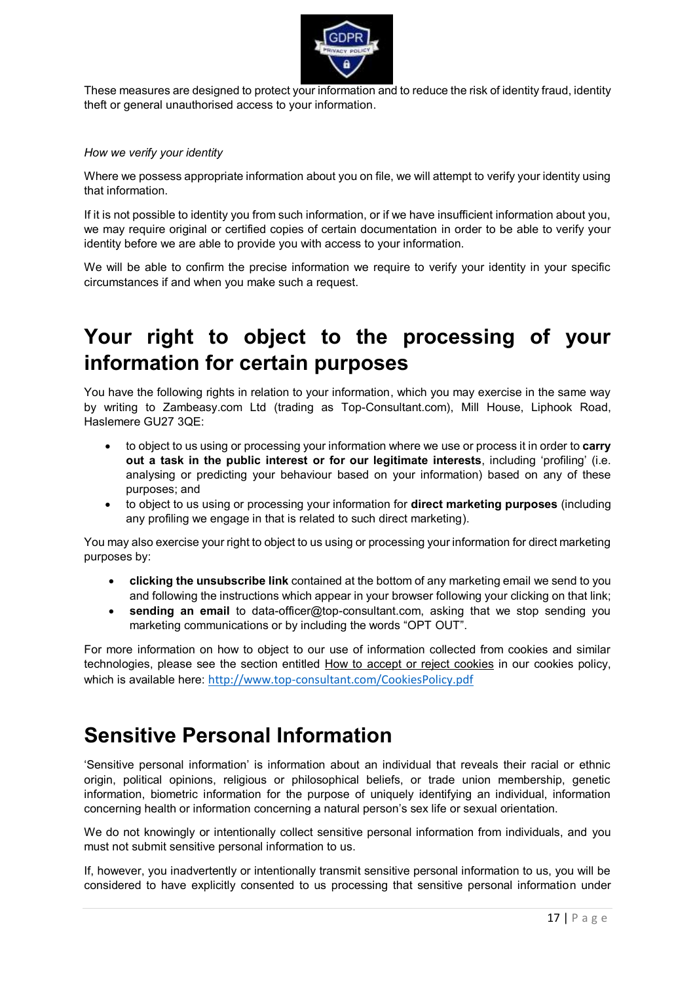

These measures are designed to protect your information and to reduce the risk of identity fraud, identity theft or general unauthorised access to your information.

#### *How we verify your identity*

Where we possess appropriate information about you on file, we will attempt to verify your identity using that information.

If it is not possible to identity you from such information, or if we have insufficient information about you, we may require original or certified copies of certain documentation in order to be able to verify your identity before we are able to provide you with access to your information.

We will be able to confirm the precise information we require to verify your identity in your specific circumstances if and when you make such a request.

# **Your right to object to the processing of your information for certain purposes**

You have the following rights in relation to your information, which you may exercise in the same way by writing to Zambeasy.com Ltd (trading as Top-Consultant.com), Mill House, Liphook Road, Haslemere GU27 3QE:

- to object to us using or processing your information where we use or process it in order to **carry out a task in the public interest or for our legitimate interests**, including 'profiling' (i.e. analysing or predicting your behaviour based on your information) based on any of these purposes; and
- to object to us using or processing your information for **direct marketing purposes** (including any profiling we engage in that is related to such direct marketing).

You may also exercise your right to object to us using or processing your information for direct marketing purposes by:

- **clicking the unsubscribe link** contained at the bottom of any marketing email we send to you and following the instructions which appear in your browser following your clicking on that link;
- **sending an email** to data-officer@top-consultant.com, asking that we stop sending you marketing communications or by including the words "OPT OUT".

For more information on how to object to our use of information collected from cookies and similar technologies, please see the section entitled How to accept or reject cookies in our cookies policy, which is available here: <http://www.top-consultant.com/CookiesPolicy.pdf>

## **Sensitive Personal Information**

'Sensitive personal information' is information about an individual that reveals their racial or ethnic origin, political opinions, religious or philosophical beliefs, or trade union membership, genetic information, biometric information for the purpose of uniquely identifying an individual, information concerning health or information concerning a natural person's sex life or sexual orientation.

We do not knowingly or intentionally collect sensitive personal information from individuals, and you must not submit sensitive personal information to us.

If, however, you inadvertently or intentionally transmit sensitive personal information to us, you will be considered to have explicitly consented to us processing that sensitive personal information under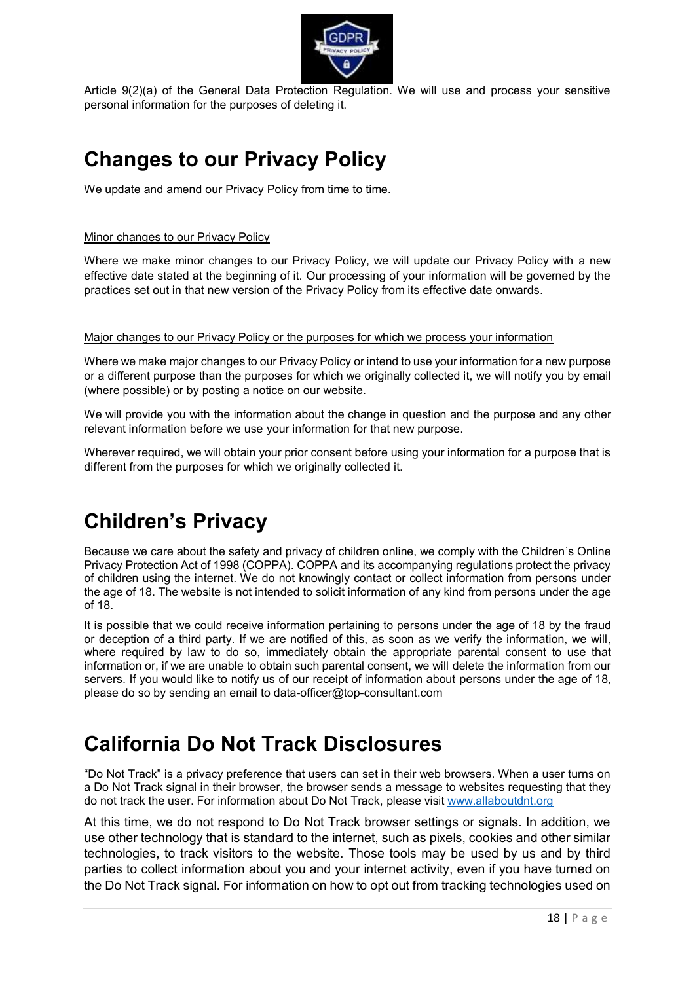

Article 9(2)(a) of the General Data Protection Regulation. We will use and process your sensitive personal information for the purposes of deleting it.

# **Changes to our Privacy Policy**

We update and amend our Privacy Policy from time to time.

### Minor changes to our Privacy Policy

Where we make minor changes to our Privacy Policy, we will update our Privacy Policy with a new effective date stated at the beginning of it. Our processing of your information will be governed by the practices set out in that new version of the Privacy Policy from its effective date onwards.

### Major changes to our Privacy Policy or the purposes for which we process your information

Where we make major changes to our Privacy Policy or intend to use your information for a new purpose or a different purpose than the purposes for which we originally collected it, we will notify you by email (where possible) or by posting a notice on our website.

We will provide you with the information about the change in question and the purpose and any other relevant information before we use your information for that new purpose.

Wherever required, we will obtain your prior consent before using your information for a purpose that is different from the purposes for which we originally collected it.

# **Children's Privacy**

Because we care about the safety and privacy of children online, we comply with the Children's Online Privacy Protection Act of 1998 (COPPA). COPPA and its accompanying regulations protect the privacy of children using the internet. We do not knowingly contact or collect information from persons under the age of 18. The website is not intended to solicit information of any kind from persons under the age of 18.

It is possible that we could receive information pertaining to persons under the age of 18 by the fraud or deception of a third party. If we are notified of this, as soon as we verify the information, we will, where required by law to do so, immediately obtain the appropriate parental consent to use that information or, if we are unable to obtain such parental consent, we will delete the information from our servers. If you would like to notify us of our receipt of information about persons under the age of 18, please do so by sending an email to data-officer@top-consultant.com

# **California Do Not Track Disclosures**

"Do Not Track" is a privacy preference that users can set in their web browsers. When a user turns on a Do Not Track signal in their browser, the browser sends a message to websites requesting that they do not track the user. For information about Do Not Track, please visit [www.allaboutdnt.org](http://www.allaboutdnt.org/)

At this time, we do not respond to Do Not Track browser settings or signals. In addition, we use other technology that is standard to the internet, such as pixels, cookies and other similar technologies, to track visitors to the website. Those tools may be used by us and by third parties to collect information about you and your internet activity, even if you have turned on the Do Not Track signal. For information on how to opt out from tracking technologies used on